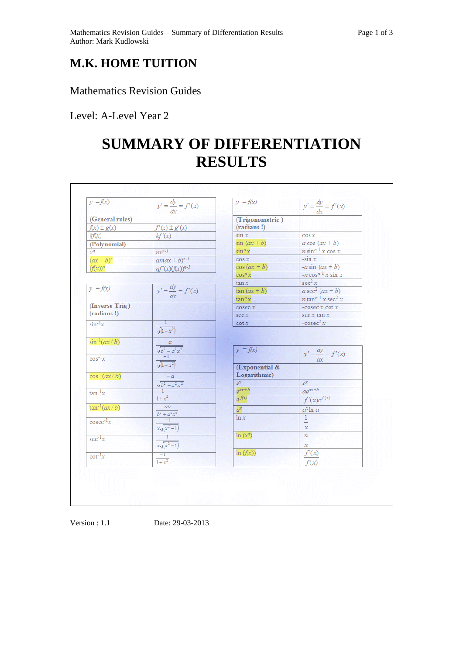## **M.K. HOME TUITION**

Mathematics Revision Guides

Level: A-Level Year 2

## **SUMMARY OF DIFFERENTIATION RESULTS**

| (General rules)                   | $y' = \frac{dy}{dx} = f'(x)$                                                                                                                            | (Trigonometric)                |                                             |
|-----------------------------------|---------------------------------------------------------------------------------------------------------------------------------------------------------|--------------------------------|---------------------------------------------|
| $f(x) \pm g(x)$                   | $f'(x) \pm g'(x)$                                                                                                                                       | (radians!)                     |                                             |
| k f(x)                            | kf'(x)                                                                                                                                                  | $\sin x$                       | $\cos x$                                    |
| (Polynomial)                      |                                                                                                                                                         | $sin (ax + b)$                 | $a \cos (ax + b)$                           |
| $x^n$                             | $mx^{n-1}$                                                                                                                                              | $\sin^n x$                     | $n \sin^{n-1} x \cos x$                     |
| $(ax + b)^n$                      | $an(ax+b)^{n-1}$                                                                                                                                        | $\cos x$                       | $-sin x$                                    |
| $(f(x))^n$                        | $nf'(x)(f(x))^{n-1}$                                                                                                                                    | $cos (ax + b)$                 | $-a \sin (ax + b)$                          |
|                                   |                                                                                                                                                         | $\cos^n x$                     | $-n \cos^{n-1} x \sin x$                    |
| $y = f(x)$                        |                                                                                                                                                         | tan x                          | sec <sup>2</sup> x                          |
|                                   | $y' = \frac{dy}{dx} = f'(x)$                                                                                                                            | $tan (ax + b)$                 | $a\sec^2(ax+b)$                             |
|                                   |                                                                                                                                                         | $\tan^n x$                     | $n \tan^{n-1} x \sec^2 x$                   |
| (Inverse Trig)                    |                                                                                                                                                         | $\csc x$                       | -cosec $x$ cot $x$                          |
| (radians!)                        |                                                                                                                                                         | sec x                          | sec x tan x                                 |
| $\sin^{-1}x$                      | $\frac{1}{\sqrt{1-x^2}}$                                                                                                                                | $\cot x$                       | $-cosec2 x$                                 |
| $\sin^{-1}(ax/b)$<br>$\cos^{-1}x$ | $\begin{array}{c c}\n & a & \\ \hline\n\sqrt{b^2 - a^2 x^2} & -1 & \\ \hline\n-\sqrt{(1-x^2)} & & \\ \hline\n\sqrt{(1-x^2)} & & \\ \hline\n\end{array}$ | $y = f(x)$                     | $y' = \frac{dy}{dx} = f'(x)$                |
| $\cos^{-1}(ax/b)$                 | $\frac{-a}{\sqrt{b^2-a^2x^2}}$                                                                                                                          | (Exponential &<br>Logarithmic) |                                             |
|                                   |                                                                                                                                                         | $e^{x}$                        | $e^{x}$                                     |
| $tan^{-1}x$                       | $\overline{1+x^2}$                                                                                                                                      | $e^{ax+b}$<br>$e^{f(x)}$       | $ae^{ax+b}$<br>$f'(x)e^{f(x)}$              |
| $\tan^{-1}(ax/b)$                 | $\overline{ab}$                                                                                                                                         | $a^x$                          | $a^x \ln a$                                 |
| $\csc^{-1}x$                      | $\frac{\frac{av}{b^2 + a^2x^2}}{-1}$<br>$\frac{-1}{x\sqrt{x^2-1}}$                                                                                      | ln x                           | $\mathbf{1}$<br>$\overline{a}$<br>$\chi$    |
| $sec^{-1}x$                       | $\frac{1}{x\sqrt{(x^2-1)}}$                                                                                                                             | $ln(x^n)$                      | $\frac{n}{\sqrt{2}}$<br>$\boldsymbol{\chi}$ |
| $\cot^{-1}x$                      | $\frac{-1}{1+x^2}$                                                                                                                                      | ln(f(x))                       | $f^{\prime}(x)$<br>f(x)                     |
|                                   |                                                                                                                                                         |                                |                                             |

Version : 1.1 Date: 29-03-2013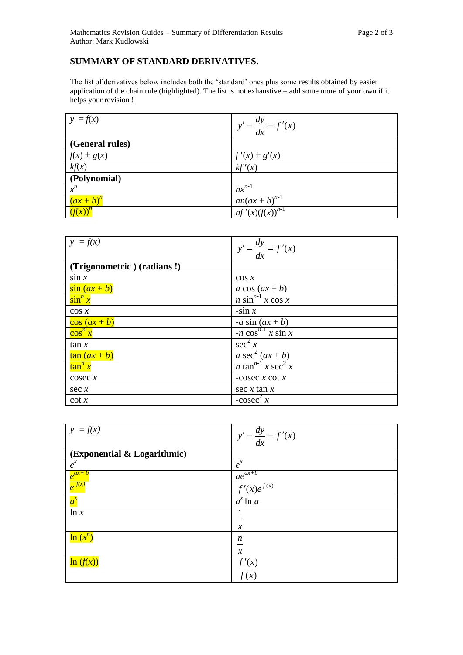## **SUMMARY OF STANDARD DERIVATIVES.**

The list of derivatives below includes both the 'standard' ones plus some results obtained by easier application of the chain rule (highlighted). The list is not exhaustive – add some more of your own if it helps your revision !

| $ y = f(x) $    | $y' = \frac{dy}{dx} = f'(x)$                 |
|-----------------|----------------------------------------------|
| (General rules) |                                              |
| $f(x) \pm g(x)$ | $f'(x) \pm g'(x)$                            |
| kf(x)           | kf'(x)                                       |
| (Polynomial)    |                                              |
| $x^n$           | $nx^{n-1}$                                   |
| $(ax + b)^n$    |                                              |
| $(f(x))^n$      | $\frac{a n(ax+b)^{n-1}}{nf'(x)(f(x))^{n-1}}$ |

| $ y = f(x) $               | $y' = \frac{dy}{dx} = f'(x)$                     |
|----------------------------|--------------------------------------------------|
|                            |                                                  |
| (Trigonometric) (radians!) |                                                  |
| $\sin x$                   | $\cos x$                                         |
| $\sin(ax+b)$               | a cos $(ax + b)$                                 |
| $\sin^n x$                 | $n \sin^{n-1} x \cos x$                          |
| $\cos x$                   | $-sin x$                                         |
| $\cos\left(ax+b\right)$    | -a sin $(ax + b)$                                |
| $\cos^n x$                 | $-n \cos^{n-1} x \sin x$                         |
| tan x                      | $\sec^2 x$                                       |
| $\tan(ax+b)$               | a sec <sup>2</sup> $(ax + b)$                    |
| $\tan^n x$                 | <i>n</i> tan <sup>n-1</sup> x sec <sup>2</sup> x |
| $\csc x$                   | -cosec $x \cot x$                                |
| sec x                      | $\sec x \tan x$                                  |
| $\cot x$                   | $-cosec^2 x$                                     |

| $y = f(x)$                  | $y' = \frac{dy}{dx} = f'(x)$ |
|-----------------------------|------------------------------|
| (Exponential & Logarithmic) |                              |
| $e^{x}$                     | $e^{x}$                      |
| $e^{ax+b}$                  | $ae^{ax+b}$                  |
| $e^{\frac{f(x)}{f(x)}}$     | $f'(x)e^{f(x)}$              |
| $a^x$                       | $\overline{a}^x \ln a$       |
| ln x                        |                              |
|                             | $\mathcal{X}$                |
| $\ln(x^n)$                  | $\boldsymbol{n}$             |
|                             | $\mathcal{X}$                |
| $\ln(f(x))$                 | f'(x)                        |
|                             | f(x)                         |